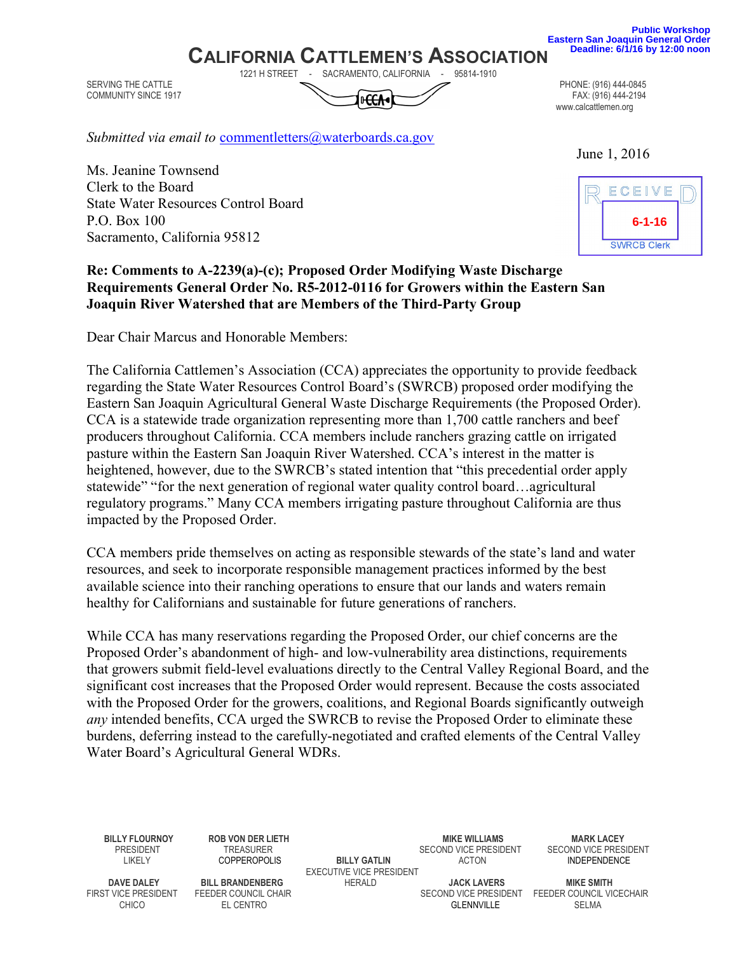**Public Workshop Eastern San Joaquin General Order Deadline: 6/1/16 by 12:00 noon**

## **CALIFORNIA CATTLEMEN'S ASSOCIATION**<br>1221 H STREET - SACRAMENTO CALIFORNIA - 95814-1910

Joaquin River Watershed that are Members of the Third-Party Group

SACRAMENTO, CALIFORNIA SERVING THE CATTLE PHONE: (916) 444-0845<br>COMMUNITY SINCE 1917 FAX: (916) 444-2194 COMMUNITY SINCE 1917

www.calcattlemen.org

June 1, 2016

Submitted via email to commentletters@waterboards.ca.gov

Ms. Jeanine Townsend Clerk to the Board State Water Resources Control Board P.O. Box 100 Sacramento, California 95812

# Re: Comments to A-2239(a)-(c); Proposed Order Modifying Waste Discharge Requirements General Order No. R5-2012-0116 for Growers within the Eastern San

Dear Chair Marcus and Honorable Members:

The California Cattlemen's Association (CCA) appreciates the opportunity to provide feedback regarding the State Water Resources Control Board's (SWRCB) proposed order modifying the Eastern San Joaquin Agricultural General Waste Discharge Requirements (the Proposed Order). CCA is a statewide trade organization representing more than 1,700 cattle ranchers and beef producers throughout California. CCA members include ranchers grazing cattle on irrigated pasture within the Eastern San Joaquin River Watershed. CCA's interest in the matter is heightened, however, due to the SWRCB's stated intention that "this precedential order apply statewide" "for the next generation of regional water quality control board…agricultural regulatory programs." Many CCA members irrigating pasture throughout California are thus impacted by the Proposed Order.

CCA members pride themselves on acting as responsible stewards of the state's land and water resources, and seek to incorporate responsible management practices informed by the best available science into their ranching operations to ensure that our lands and waters remain healthy for Californians and sustainable for future generations of ranchers.

While CCA has many reservations regarding the Proposed Order, our chief concerns are the Proposed Order's abandonment of high- and low-vulnerability area distinctions, requirements that growers submit field-level evaluations directly to the Central Valley Regional Board, and the significant cost increases that the Proposed Order would represent. Because the costs associated with the Proposed Order for the growers, coalitions, and Regional Boards significantly outweigh any intended benefits, CCA urged the SWRCB to revise the Proposed Order to eliminate these burdens, deferring instead to the carefully-negotiated and crafted elements of the Central Valley Water Board's Agricultural General WDRs.

SECOND VICE PRESIDENT LIKELY COPPEROPOLIS BILLY GATLIN ACTON INDEPENDENCE EXECUTIVE VICE PRESIDENT

BILLY FLOURNOY ROB VON DER LIETH MIKE WILLIAMS MIKE WILLIAMS MIKE WILLIAMS MARK LACEY<br>PRESIDENT TREASURER TRANSISTIC SECOND VICE PRESIDENT SECOND VICE PRESIDENT

CHICO EL CENTRO GLENNVILLE SELMA

DAVE DALEY BILL BRANDENBERG HERALD JACK LAVERS MIKE SMITH FIRST VICE PRESIDENT FEEDER COUNCIL VI

SECOND VICE PRESIDENT FEEDER COUNCIL VICECHAIR

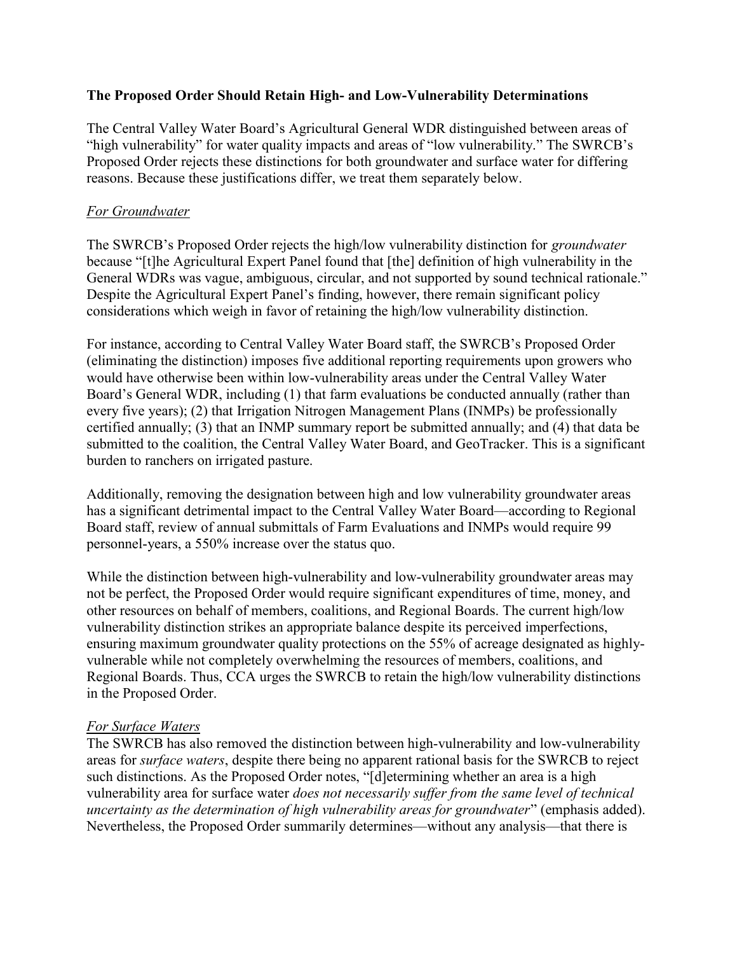## The Proposed Order Should Retain High- and Low-Vulnerability Determinations

The Central Valley Water Board's Agricultural General WDR distinguished between areas of "high vulnerability" for water quality impacts and areas of "low vulnerability." The SWRCB's Proposed Order rejects these distinctions for both groundwater and surface water for differing reasons. Because these justifications differ, we treat them separately below.

## For Groundwater

The SWRCB's Proposed Order rejects the high/low vulnerability distinction for *groundwater* because "[t]he Agricultural Expert Panel found that [the] definition of high vulnerability in the General WDRs was vague, ambiguous, circular, and not supported by sound technical rationale." Despite the Agricultural Expert Panel's finding, however, there remain significant policy considerations which weigh in favor of retaining the high/low vulnerability distinction.

For instance, according to Central Valley Water Board staff, the SWRCB's Proposed Order (eliminating the distinction) imposes five additional reporting requirements upon growers who would have otherwise been within low-vulnerability areas under the Central Valley Water Board's General WDR, including (1) that farm evaluations be conducted annually (rather than every five years); (2) that Irrigation Nitrogen Management Plans (INMPs) be professionally certified annually; (3) that an INMP summary report be submitted annually; and (4) that data be submitted to the coalition, the Central Valley Water Board, and GeoTracker. This is a significant burden to ranchers on irrigated pasture.

Additionally, removing the designation between high and low vulnerability groundwater areas has a significant detrimental impact to the Central Valley Water Board—according to Regional Board staff, review of annual submittals of Farm Evaluations and INMPs would require 99 personnel-years, a 550% increase over the status quo.

While the distinction between high-vulnerability and low-vulnerability groundwater areas may not be perfect, the Proposed Order would require significant expenditures of time, money, and other resources on behalf of members, coalitions, and Regional Boards. The current high/low vulnerability distinction strikes an appropriate balance despite its perceived imperfections, ensuring maximum groundwater quality protections on the 55% of acreage designated as highlyvulnerable while not completely overwhelming the resources of members, coalitions, and Regional Boards. Thus, CCA urges the SWRCB to retain the high/low vulnerability distinctions in the Proposed Order.

#### For Surface Waters

The SWRCB has also removed the distinction between high-vulnerability and low-vulnerability areas for surface waters, despite there being no apparent rational basis for the SWRCB to reject such distinctions. As the Proposed Order notes, "[d]etermining whether an area is a high vulnerability area for surface water does not necessarily suffer from the same level of technical uncertainty as the determination of high vulnerability areas for groundwater" (emphasis added). Nevertheless, the Proposed Order summarily determines—without any analysis—that there is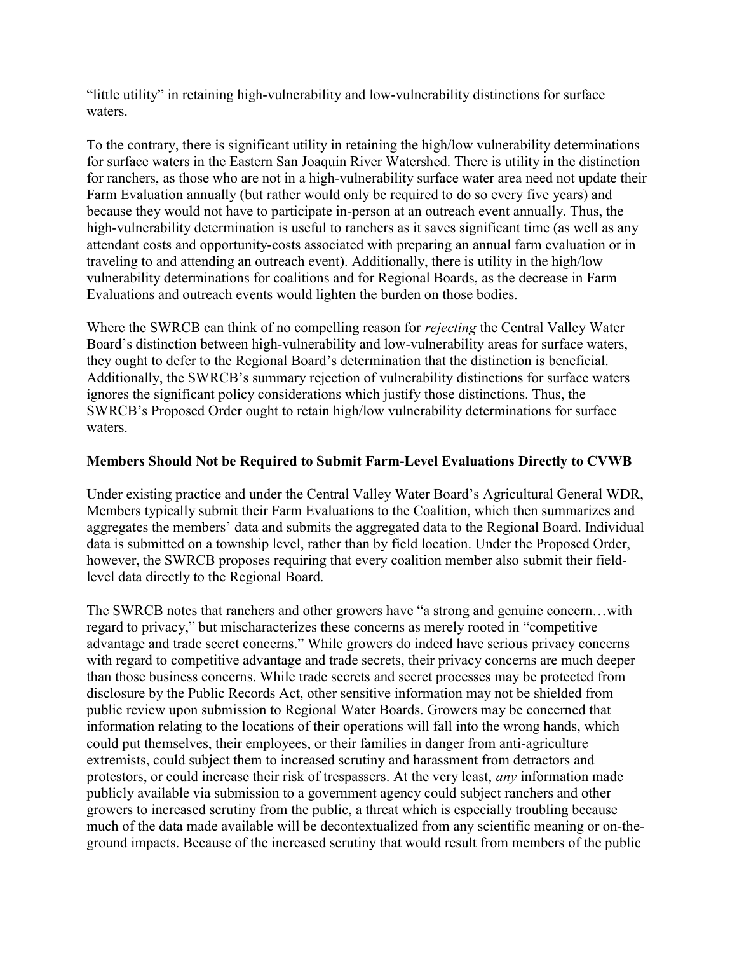"little utility" in retaining high-vulnerability and low-vulnerability distinctions for surface waters.

To the contrary, there is significant utility in retaining the high/low vulnerability determinations for surface waters in the Eastern San Joaquin River Watershed. There is utility in the distinction for ranchers, as those who are not in a high-vulnerability surface water area need not update their Farm Evaluation annually (but rather would only be required to do so every five years) and because they would not have to participate in-person at an outreach event annually. Thus, the high-vulnerability determination is useful to ranchers as it saves significant time (as well as any attendant costs and opportunity-costs associated with preparing an annual farm evaluation or in traveling to and attending an outreach event). Additionally, there is utility in the high/low vulnerability determinations for coalitions and for Regional Boards, as the decrease in Farm Evaluations and outreach events would lighten the burden on those bodies.

Where the SWRCB can think of no compelling reason for *rejecting* the Central Valley Water Board's distinction between high-vulnerability and low-vulnerability areas for surface waters, they ought to defer to the Regional Board's determination that the distinction is beneficial. Additionally, the SWRCB's summary rejection of vulnerability distinctions for surface waters ignores the significant policy considerations which justify those distinctions. Thus, the SWRCB's Proposed Order ought to retain high/low vulnerability determinations for surface waters.

## Members Should Not be Required to Submit Farm-Level Evaluations Directly to CVWB

Under existing practice and under the Central Valley Water Board's Agricultural General WDR, Members typically submit their Farm Evaluations to the Coalition, which then summarizes and aggregates the members' data and submits the aggregated data to the Regional Board. Individual data is submitted on a township level, rather than by field location. Under the Proposed Order, however, the SWRCB proposes requiring that every coalition member also submit their fieldlevel data directly to the Regional Board.

The SWRCB notes that ranchers and other growers have "a strong and genuine concern…with regard to privacy," but mischaracterizes these concerns as merely rooted in "competitive advantage and trade secret concerns." While growers do indeed have serious privacy concerns with regard to competitive advantage and trade secrets, their privacy concerns are much deeper than those business concerns. While trade secrets and secret processes may be protected from disclosure by the Public Records Act, other sensitive information may not be shielded from public review upon submission to Regional Water Boards. Growers may be concerned that information relating to the locations of their operations will fall into the wrong hands, which could put themselves, their employees, or their families in danger from anti-agriculture extremists, could subject them to increased scrutiny and harassment from detractors and protestors, or could increase their risk of trespassers. At the very least, any information made publicly available via submission to a government agency could subject ranchers and other growers to increased scrutiny from the public, a threat which is especially troubling because much of the data made available will be decontextualized from any scientific meaning or on-theground impacts. Because of the increased scrutiny that would result from members of the public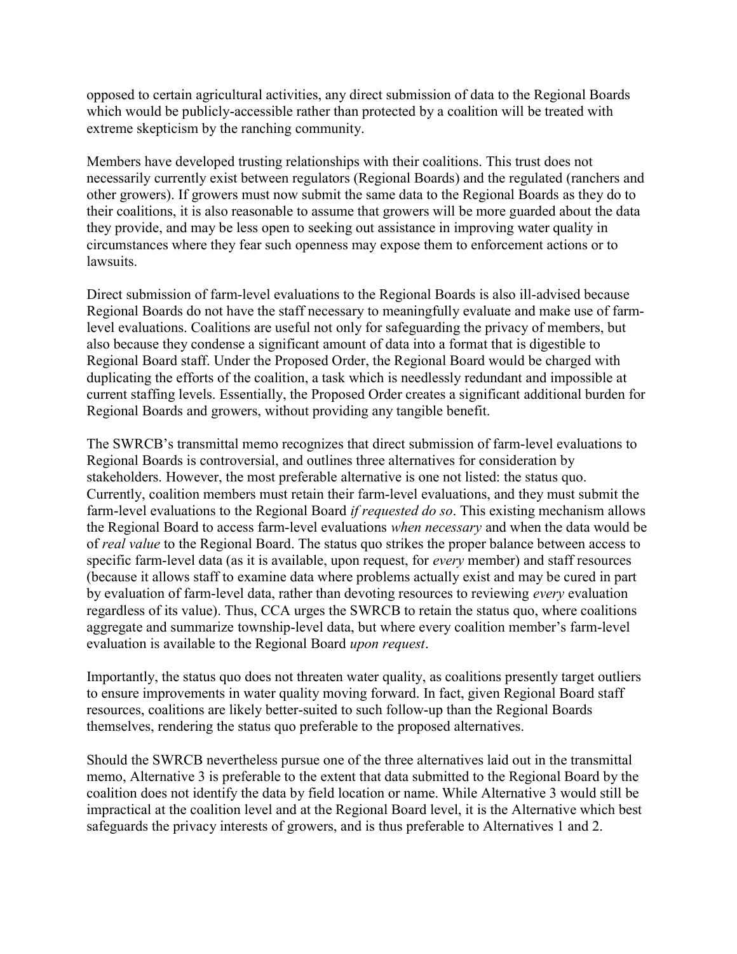opposed to certain agricultural activities, any direct submission of data to the Regional Boards which would be publicly-accessible rather than protected by a coalition will be treated with extreme skepticism by the ranching community.

Members have developed trusting relationships with their coalitions. This trust does not necessarily currently exist between regulators (Regional Boards) and the regulated (ranchers and other growers). If growers must now submit the same data to the Regional Boards as they do to their coalitions, it is also reasonable to assume that growers will be more guarded about the data they provide, and may be less open to seeking out assistance in improving water quality in circumstances where they fear such openness may expose them to enforcement actions or to lawsuits.

Direct submission of farm-level evaluations to the Regional Boards is also ill-advised because Regional Boards do not have the staff necessary to meaningfully evaluate and make use of farmlevel evaluations. Coalitions are useful not only for safeguarding the privacy of members, but also because they condense a significant amount of data into a format that is digestible to Regional Board staff. Under the Proposed Order, the Regional Board would be charged with duplicating the efforts of the coalition, a task which is needlessly redundant and impossible at current staffing levels. Essentially, the Proposed Order creates a significant additional burden for Regional Boards and growers, without providing any tangible benefit.

The SWRCB's transmittal memo recognizes that direct submission of farm-level evaluations to Regional Boards is controversial, and outlines three alternatives for consideration by stakeholders. However, the most preferable alternative is one not listed: the status quo. Currently, coalition members must retain their farm-level evaluations, and they must submit the farm-level evaluations to the Regional Board *if requested do so*. This existing mechanism allows the Regional Board to access farm-level evaluations when necessary and when the data would be of real value to the Regional Board. The status quo strikes the proper balance between access to specific farm-level data (as it is available, upon request, for *every* member) and staff resources (because it allows staff to examine data where problems actually exist and may be cured in part by evaluation of farm-level data, rather than devoting resources to reviewing *every* evaluation regardless of its value). Thus, CCA urges the SWRCB to retain the status quo, where coalitions aggregate and summarize township-level data, but where every coalition member's farm-level evaluation is available to the Regional Board upon request.

Importantly, the status quo does not threaten water quality, as coalitions presently target outliers to ensure improvements in water quality moving forward. In fact, given Regional Board staff resources, coalitions are likely better-suited to such follow-up than the Regional Boards themselves, rendering the status quo preferable to the proposed alternatives.

Should the SWRCB nevertheless pursue one of the three alternatives laid out in the transmittal memo, Alternative 3 is preferable to the extent that data submitted to the Regional Board by the coalition does not identify the data by field location or name. While Alternative 3 would still be impractical at the coalition level and at the Regional Board level, it is the Alternative which best safeguards the privacy interests of growers, and is thus preferable to Alternatives 1 and 2.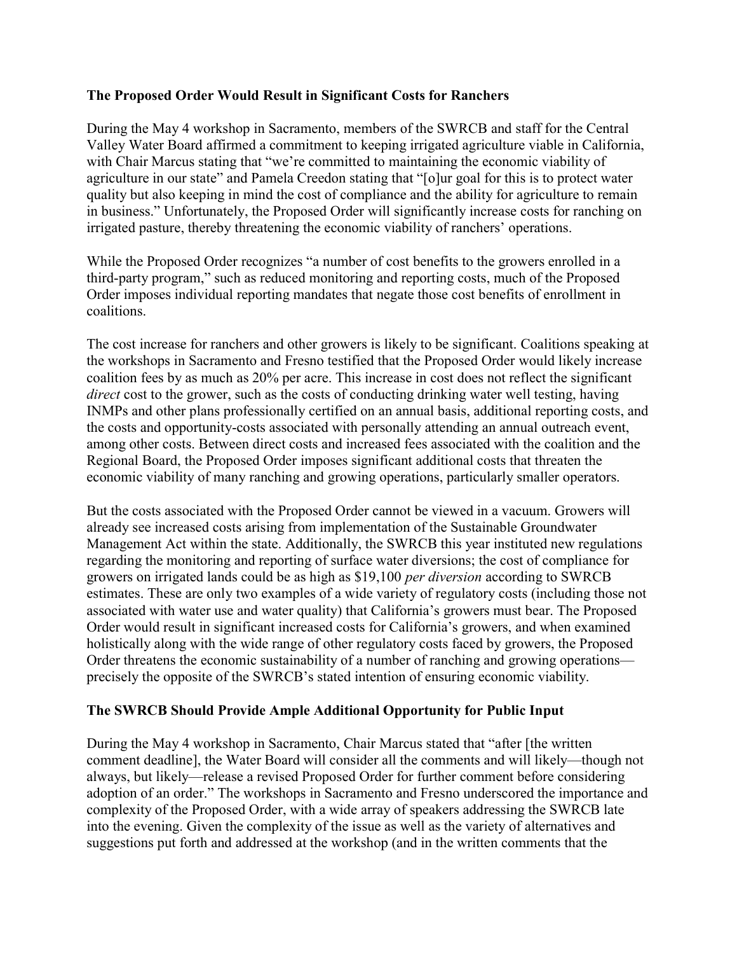## The Proposed Order Would Result in Significant Costs for Ranchers

During the May 4 workshop in Sacramento, members of the SWRCB and staff for the Central Valley Water Board affirmed a commitment to keeping irrigated agriculture viable in California, with Chair Marcus stating that "we're committed to maintaining the economic viability of agriculture in our state" and Pamela Creedon stating that "[o]ur goal for this is to protect water quality but also keeping in mind the cost of compliance and the ability for agriculture to remain in business." Unfortunately, the Proposed Order will significantly increase costs for ranching on irrigated pasture, thereby threatening the economic viability of ranchers' operations.

While the Proposed Order recognizes "a number of cost benefits to the growers enrolled in a third-party program," such as reduced monitoring and reporting costs, much of the Proposed Order imposes individual reporting mandates that negate those cost benefits of enrollment in coalitions.

The cost increase for ranchers and other growers is likely to be significant. Coalitions speaking at the workshops in Sacramento and Fresno testified that the Proposed Order would likely increase coalition fees by as much as 20% per acre. This increase in cost does not reflect the significant direct cost to the grower, such as the costs of conducting drinking water well testing, having INMPs and other plans professionally certified on an annual basis, additional reporting costs, and the costs and opportunity-costs associated with personally attending an annual outreach event, among other costs. Between direct costs and increased fees associated with the coalition and the Regional Board, the Proposed Order imposes significant additional costs that threaten the economic viability of many ranching and growing operations, particularly smaller operators.

But the costs associated with the Proposed Order cannot be viewed in a vacuum. Growers will already see increased costs arising from implementation of the Sustainable Groundwater Management Act within the state. Additionally, the SWRCB this year instituted new regulations regarding the monitoring and reporting of surface water diversions; the cost of compliance for growers on irrigated lands could be as high as \$19,100 per diversion according to SWRCB estimates. These are only two examples of a wide variety of regulatory costs (including those not associated with water use and water quality) that California's growers must bear. The Proposed Order would result in significant increased costs for California's growers, and when examined holistically along with the wide range of other regulatory costs faced by growers, the Proposed Order threatens the economic sustainability of a number of ranching and growing operations precisely the opposite of the SWRCB's stated intention of ensuring economic viability.

## The SWRCB Should Provide Ample Additional Opportunity for Public Input

During the May 4 workshop in Sacramento, Chair Marcus stated that "after [the written comment deadline], the Water Board will consider all the comments and will likely—though not always, but likely—release a revised Proposed Order for further comment before considering adoption of an order." The workshops in Sacramento and Fresno underscored the importance and complexity of the Proposed Order, with a wide array of speakers addressing the SWRCB late into the evening. Given the complexity of the issue as well as the variety of alternatives and suggestions put forth and addressed at the workshop (and in the written comments that the